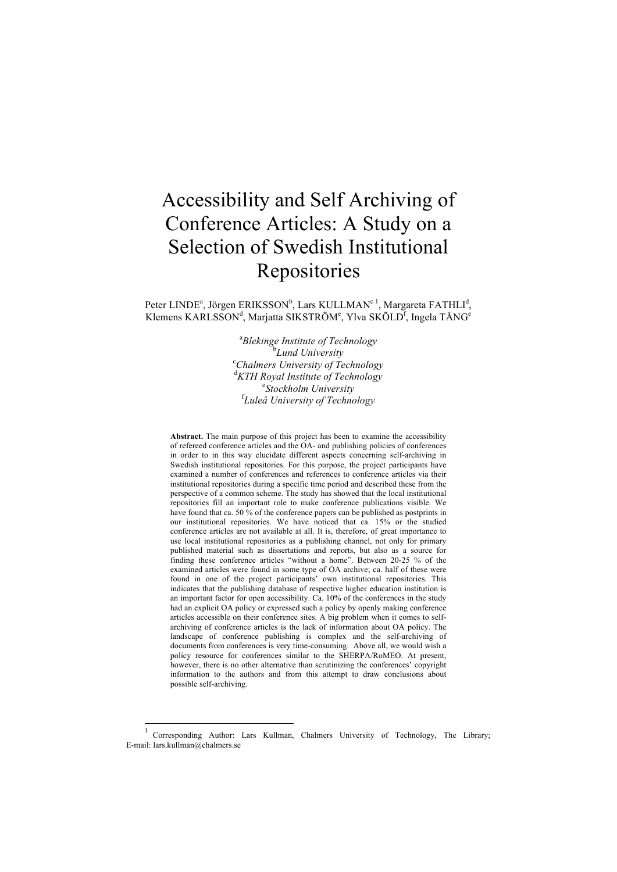# Accessibility and Self Archiving of Conference Articles: A Study on a Selection of Swedish Institutional Repositories

Peter LINDE<sup>a</sup>, Jörgen ERIKSSON<sup>b</sup>, Lars KULLMAN<sup>c 1</sup>, Margareta FATHLI<sup>d</sup>, Klemens KARLSSON<sup>d</sup>, Marjatta SIKSTRÖM<sup>e</sup>, Ylva SKÖLD<sup>f</sup>, Ingela TÅNG<sup>e</sup>

> a *Blekinge Institute of Technology* <sup>b</sup>Lund University *Lund University* <sup>c</sup> *Chalmers University of Technology* <sup>d</sup>KTH Royal Institute of Technology *Stockholm University* <sup>f</sup> *Luleå University of Technology*

**Abstract.** The main purpose of this project has been to examine the accessibility of refereed conference articles and the OA- and publishing policies of conferences in order to in this way elucidate different aspects concerning self-archiving in Swedish institutional repositories. For this purpose, the project participants have examined a number of conferences and references to conference articles via their institutional repositories during a specific time period and described these from the perspective of a common scheme. The study has showed that the local institutional repositories fill an important role to make conference publications visible. We have found that ca. 50 % of the conference papers can be published as postprints in our institutional repositories. We have noticed that ca. 15% or the studied conference articles are not available at all. It is, therefore, of great importance to use local institutional repositories as a publishing channel, not only for primary published material such as dissertations and reports, but also as a source for finding these conference articles "without a home". Between 20-25 % of the examined articles were found in some type of OA archive; ca. half of these were found in one of the project participants' own institutional repositories. This indicates that the publishing database of respective higher education institution is an important factor for open accessibility. Ca. 10% of the conferences in the study had an explicit OA policy or expressed such a policy by openly making conference articles accessible on their conference sites. A big problem when it comes to selfarchiving of conference articles is the lack of information about OA policy. The landscape of conference publishing is complex and the self-archiving of documents from conferences is very time-consuming. Above all, we would wish a policy resource for conferences similar to the SHERPA/RoMEO. At present, however, there is no other alternative than scrutinizing the conferences' copyright information to the authors and from this attempt to draw conclusions about possible self-archiving.

 <sup>1</sup> Corresponding Author: Lars Kullman, Chalmers University of Technology, The Library; E-mail: lars.kullman@chalmers.se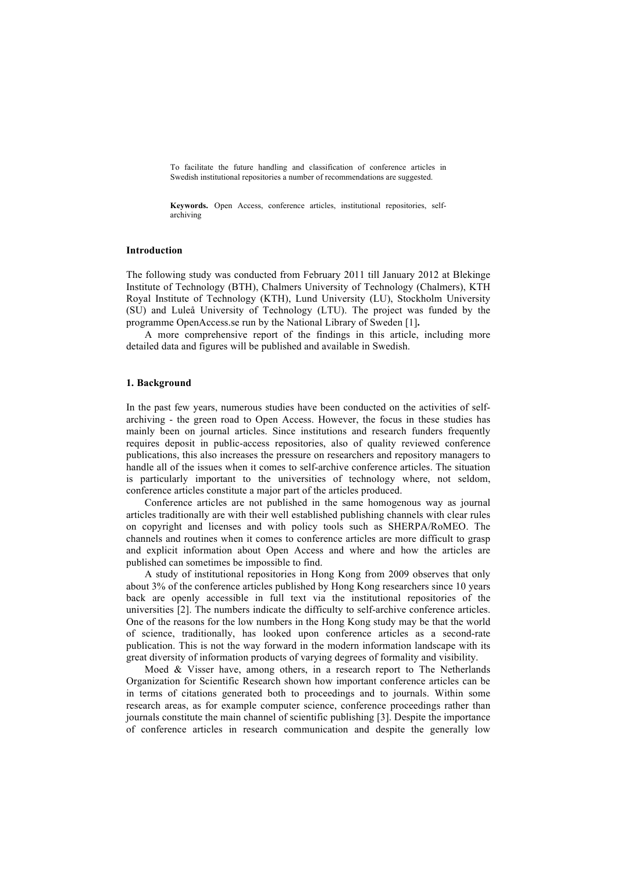To facilitate the future handling and classification of conference articles in Swedish institutional repositories a number of recommendations are suggested.

**Keywords.** Open Access, conference articles, institutional repositories, selfarchiving

#### **Introduction**

The following study was conducted from February 2011 till January 2012 at Blekinge Institute of Technology (BTH), Chalmers University of Technology (Chalmers), KTH Royal Institute of Technology (KTH), Lund University (LU), Stockholm University (SU) and Luleå University of Technology (LTU). The project was funded by the programme OpenAccess.se run by the National Library of Sweden [1]**.** 

A more comprehensive report of the findings in this article, including more detailed data and figures will be published and available in Swedish.

#### **1. Background**

In the past few years, numerous studies have been conducted on the activities of selfarchiving - the green road to Open Access. However, the focus in these studies has mainly been on journal articles. Since institutions and research funders frequently requires deposit in public-access repositories, also of quality reviewed conference publications, this also increases the pressure on researchers and repository managers to handle all of the issues when it comes to self-archive conference articles. The situation is particularly important to the universities of technology where, not seldom, conference articles constitute a major part of the articles produced.

Conference articles are not published in the same homogenous way as journal articles traditionally are with their well established publishing channels with clear rules on copyright and licenses and with policy tools such as SHERPA/RoMEO. The channels and routines when it comes to conference articles are more difficult to grasp and explicit information about Open Access and where and how the articles are published can sometimes be impossible to find.

A study of institutional repositories in Hong Kong from 2009 observes that only about 3% of the conference articles published by Hong Kong researchers since 10 years back are openly accessible in full text via the institutional repositories of the universities [2]. The numbers indicate the difficulty to self-archive conference articles. One of the reasons for the low numbers in the Hong Kong study may be that the world of science, traditionally, has looked upon conference articles as a second-rate publication. This is not the way forward in the modern information landscape with its great diversity of information products of varying degrees of formality and visibility.

Moed & Visser have, among others, in a research report to The Netherlands Organization for Scientific Research shown how important conference articles can be in terms of citations generated both to proceedings and to journals. Within some research areas, as for example computer science, conference proceedings rather than journals constitute the main channel of scientific publishing [3]. Despite the importance of conference articles in research communication and despite the generally low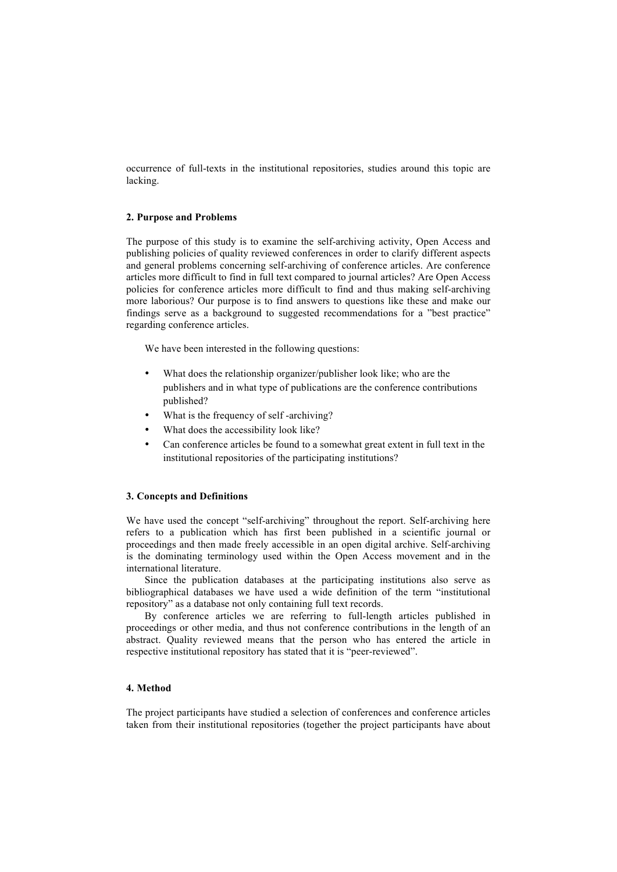occurrence of full-texts in the institutional repositories, studies around this topic are lacking.

### **2. Purpose and Problems**

The purpose of this study is to examine the self-archiving activity, Open Access and publishing policies of quality reviewed conferences in order to clarify different aspects and general problems concerning self-archiving of conference articles. Are conference articles more difficult to find in full text compared to journal articles? Are Open Access policies for conference articles more difficult to find and thus making self-archiving more laborious? Our purpose is to find answers to questions like these and make our findings serve as a background to suggested recommendations for a "best practice" regarding conference articles.

We have been interested in the following questions:

- What does the relationship organizer/publisher look like; who are the publishers and in what type of publications are the conference contributions published?
- What is the frequency of self-archiving?
- What does the accessibility look like?
- Can conference articles be found to a somewhat great extent in full text in the institutional repositories of the participating institutions?

# **3. Concepts and Definitions**

We have used the concept "self-archiving" throughout the report. Self-archiving here refers to a publication which has first been published in a scientific journal or proceedings and then made freely accessible in an open digital archive. Self-archiving is the dominating terminology used within the Open Access movement and in the international literature.

Since the publication databases at the participating institutions also serve as bibliographical databases we have used a wide definition of the term "institutional repository" as a database not only containing full text records.

By conference articles we are referring to full-length articles published in proceedings or other media, and thus not conference contributions in the length of an abstract. Quality reviewed means that the person who has entered the article in respective institutional repository has stated that it is "peer-reviewed".

## **4. Method**

The project participants have studied a selection of conferences and conference articles taken from their institutional repositories (together the project participants have about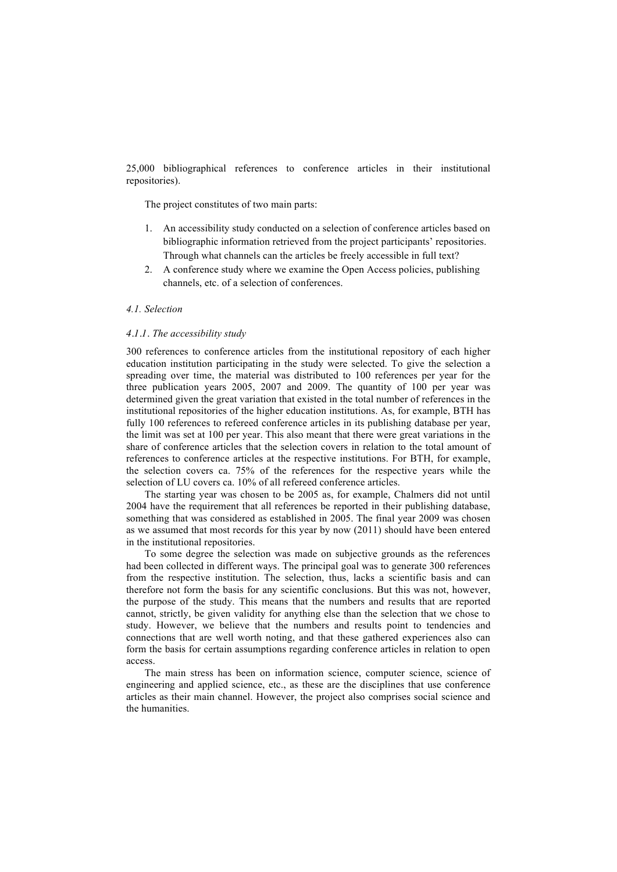25,000 bibliographical references to conference articles in their institutional repositories).

The project constitutes of two main parts:

- 1. An accessibility study conducted on a selection of conference articles based on bibliographic information retrieved from the project participants' repositories. Through what channels can the articles be freely accessible in full text?
- 2. A conference study where we examine the Open Access policies, publishing channels, etc. of a selection of conferences.

#### *4.1. Selection*

# *4.1.1. The accessibility study*

300 references to conference articles from the institutional repository of each higher education institution participating in the study were selected. To give the selection a spreading over time, the material was distributed to 100 references per year for the three publication years 2005, 2007 and 2009. The quantity of 100 per year was determined given the great variation that existed in the total number of references in the institutional repositories of the higher education institutions. As, for example, BTH has fully 100 references to refereed conference articles in its publishing database per year, the limit was set at 100 per year. This also meant that there were great variations in the share of conference articles that the selection covers in relation to the total amount of references to conference articles at the respective institutions. For BTH, for example, the selection covers ca. 75% of the references for the respective years while the selection of LU covers ca. 10% of all refereed conference articles.

The starting year was chosen to be 2005 as, for example, Chalmers did not until 2004 have the requirement that all references be reported in their publishing database, something that was considered as established in 2005. The final year 2009 was chosen as we assumed that most records for this year by now (2011) should have been entered in the institutional repositories.

To some degree the selection was made on subjective grounds as the references had been collected in different ways. The principal goal was to generate 300 references from the respective institution. The selection, thus, lacks a scientific basis and can therefore not form the basis for any scientific conclusions. But this was not, however, the purpose of the study. This means that the numbers and results that are reported cannot, strictly, be given validity for anything else than the selection that we chose to study. However, we believe that the numbers and results point to tendencies and connections that are well worth noting, and that these gathered experiences also can form the basis for certain assumptions regarding conference articles in relation to open access.

The main stress has been on information science, computer science, science of engineering and applied science, etc., as these are the disciplines that use conference articles as their main channel. However, the project also comprises social science and the humanities.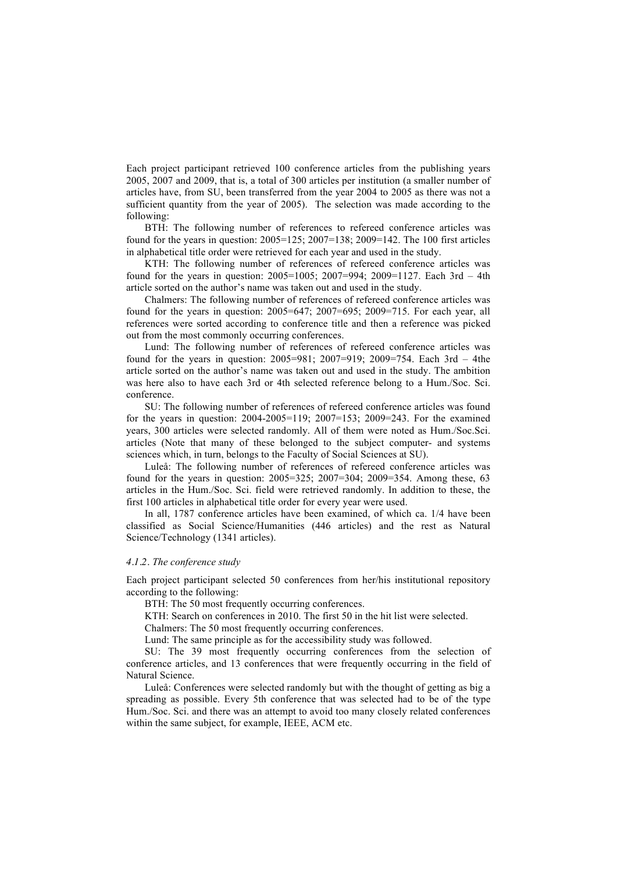Each project participant retrieved 100 conference articles from the publishing years 2005, 2007 and 2009, that is, a total of 300 articles per institution (a smaller number of articles have, from SU, been transferred from the year 2004 to 2005 as there was not a sufficient quantity from the year of 2005). The selection was made according to the following:

BTH: The following number of references to refereed conference articles was found for the years in question: 2005=125; 2007=138; 2009=142. The 100 first articles in alphabetical title order were retrieved for each year and used in the study.

KTH: The following number of references of refereed conference articles was found for the years in question:  $2005=1005$ ;  $2007=994$ ;  $2009=1127$ . Each 3rd – 4th article sorted on the author's name was taken out and used in the study.

Chalmers: The following number of references of refereed conference articles was found for the years in question: 2005=647; 2007=695; 2009=715. For each year, all references were sorted according to conference title and then a reference was picked out from the most commonly occurring conferences.

Lund: The following number of references of refereed conference articles was found for the years in question:  $2005=981$ ;  $2007=919$ ;  $2009=754$ . Each  $3rd - 4$ the article sorted on the author's name was taken out and used in the study. The ambition was here also to have each 3rd or 4th selected reference belong to a Hum./Soc. Sci. conference.

SU: The following number of references of refereed conference articles was found for the years in question: 2004-2005=119; 2007=153; 2009=243. For the examined years, 300 articles were selected randomly. All of them were noted as Hum./Soc.Sci. articles (Note that many of these belonged to the subject computer- and systems sciences which, in turn, belongs to the Faculty of Social Sciences at SU).

Luleå: The following number of references of refereed conference articles was found for the years in question: 2005=325; 2007=304; 2009=354. Among these, 63 articles in the Hum./Soc. Sci. field were retrieved randomly. In addition to these, the first 100 articles in alphabetical title order for every year were used.

In all, 1787 conference articles have been examined, of which ca. 1/4 have been classified as Social Science/Humanities (446 articles) and the rest as Natural Science/Technology (1341 articles).

### *4.1.2. The conference study*

Each project participant selected 50 conferences from her/his institutional repository according to the following:

BTH: The 50 most frequently occurring conferences.

KTH: Search on conferences in 2010. The first 50 in the hit list were selected.

Chalmers: The 50 most frequently occurring conferences.

Lund: The same principle as for the accessibility study was followed.

SU: The 39 most frequently occurring conferences from the selection of conference articles, and 13 conferences that were frequently occurring in the field of Natural Science.

Luleå: Conferences were selected randomly but with the thought of getting as big a spreading as possible. Every 5th conference that was selected had to be of the type Hum./Soc. Sci. and there was an attempt to avoid too many closely related conferences within the same subject, for example, IEEE, ACM etc.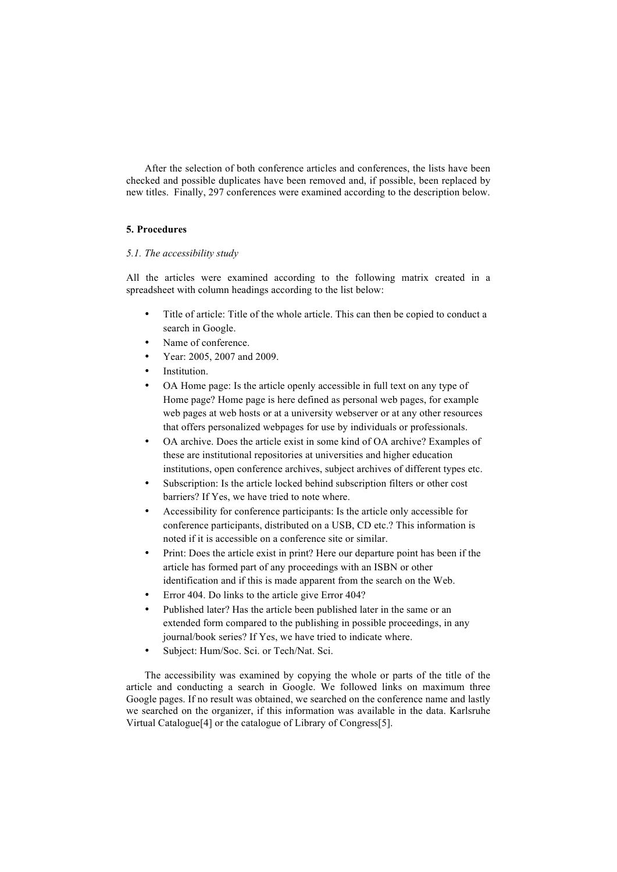After the selection of both conference articles and conferences, the lists have been checked and possible duplicates have been removed and, if possible, been replaced by new titles. Finally, 297 conferences were examined according to the description below.

## **5. Procedures**

## *5.1. The accessibility study*

All the articles were examined according to the following matrix created in a spreadsheet with column headings according to the list below:

- Title of article: Title of the whole article. This can then be copied to conduct a search in Google.
- Name of conference.
- Year: 2005, 2007 and 2009.
- Institution.
- OA Home page: Is the article openly accessible in full text on any type of Home page? Home page is here defined as personal web pages, for example web pages at web hosts or at a university webserver or at any other resources that offers personalized webpages for use by individuals or professionals.
- OA archive. Does the article exist in some kind of OA archive? Examples of these are institutional repositories at universities and higher education institutions, open conference archives, subject archives of different types etc.
- Subscription: Is the article locked behind subscription filters or other cost barriers? If Yes, we have tried to note where.
- Accessibility for conference participants: Is the article only accessible for conference participants, distributed on a USB, CD etc.? This information is noted if it is accessible on a conference site or similar.
- Print: Does the article exist in print? Here our departure point has been if the article has formed part of any proceedings with an ISBN or other identification and if this is made apparent from the search on the Web.
- Error 404. Do links to the article give Error 404?
- Published later? Has the article been published later in the same or an extended form compared to the publishing in possible proceedings, in any journal/book series? If Yes, we have tried to indicate where.
- Subject: Hum/Soc. Sci. or Tech/Nat. Sci.

The accessibility was examined by copying the whole or parts of the title of the article and conducting a search in Google. We followed links on maximum three Google pages. If no result was obtained, we searched on the conference name and lastly we searched on the organizer, if this information was available in the data. Karlsruhe Virtual Catalogue[4] or the catalogue of Library of Congress[5].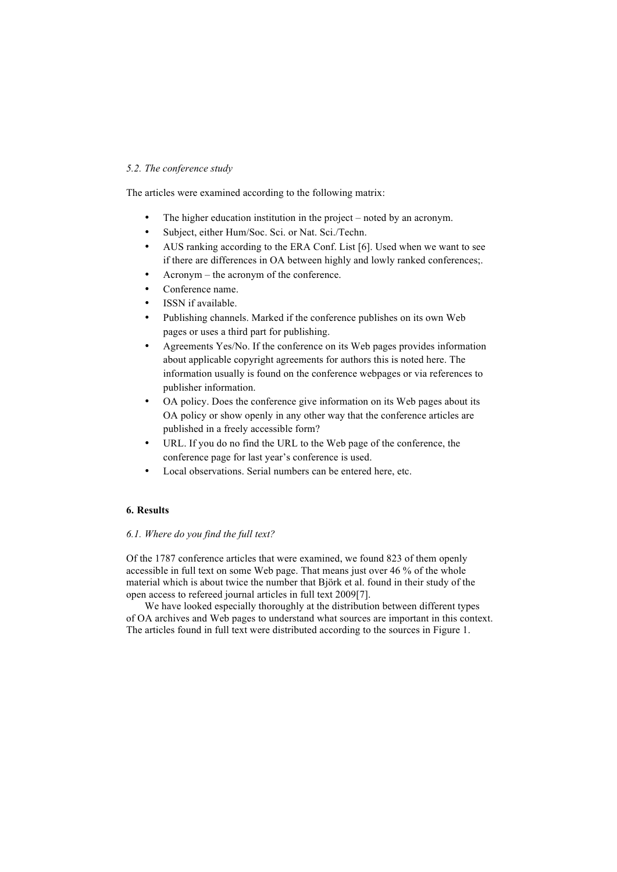# *5.2. The conference study*

The articles were examined according to the following matrix:

- The higher education institution in the project noted by an acronym.
- Subject, either Hum/Soc. Sci. or Nat. Sci./Techn.
- AUS ranking according to the ERA Conf. List [6]. Used when we want to see if there are differences in OA between highly and lowly ranked conferences;.
- Acronym the acronym of the conference.
- Conference name.
- ISSN if available.
- Publishing channels. Marked if the conference publishes on its own Web pages or uses a third part for publishing.
- Agreements Yes/No. If the conference on its Web pages provides information about applicable copyright agreements for authors this is noted here. The information usually is found on the conference webpages or via references to publisher information.
- OA policy. Does the conference give information on its Web pages about its OA policy or show openly in any other way that the conference articles are published in a freely accessible form?
- URL. If you do no find the URL to the Web page of the conference, the conference page for last year's conference is used.
- Local observations. Serial numbers can be entered here, etc.

# **6. Results**

## *6.1. Where do you find the full text?*

Of the 1787 conference articles that were examined, we found 823 of them openly accessible in full text on some Web page. That means just over 46 % of the whole material which is about twice the number that Björk et al. found in their study of the open access to refereed journal articles in full text 2009[7].

We have looked especially thoroughly at the distribution between different types of OA archives and Web pages to understand what sources are important in this context. The articles found in full text were distributed according to the sources in Figure 1.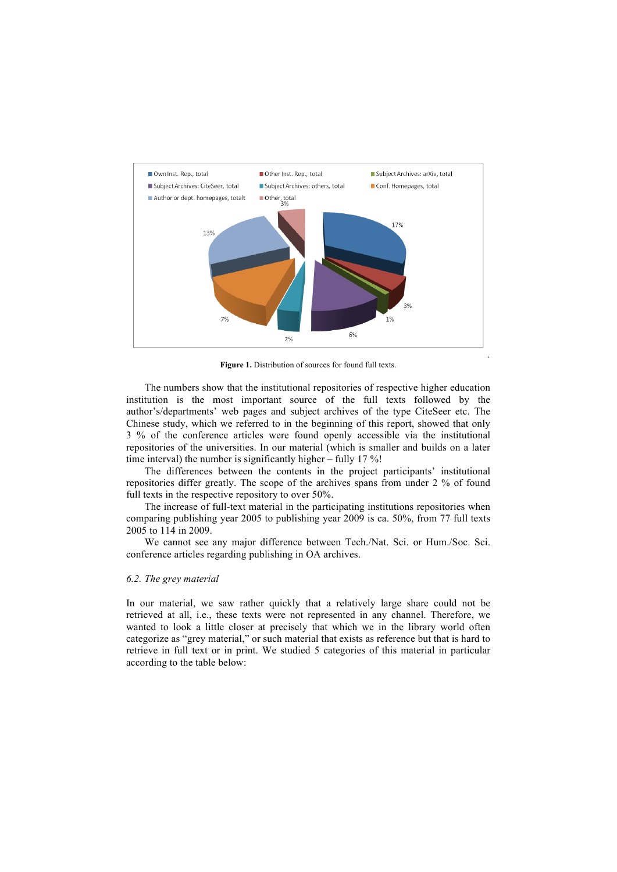

**Figure 1.** Distribution of sources for found full texts.

The numbers show that the institutional repositories of respective higher education institution is the most important source of the full texts followed by the author's/departments' web pages and subject archives of the type CiteSeer etc. The Chinese study, which we referred to in the beginning of this report, showed that only 3 % of the conference articles were found openly accessible via the institutional repositories of the universities. In our material (which is smaller and builds on a later time interval) the number is significantly higher – fully 17 %!

The differences between the contents in the project participants' institutional repositories differ greatly. The scope of the archives spans from under 2 % of found full texts in the respective repository to over 50%.

The increase of full-text material in the participating institutions repositories when comparing publishing year 2005 to publishing year 2009 is ca. 50%, from 77 full texts 2005 to 114 in 2009.

We cannot see any major difference between Tech./Nat. Sci. or Hum./Soc. Sci. conference articles regarding publishing in OA archives.

## *6.2. The grey material*

In our material, we saw rather quickly that a relatively large share could not be retrieved at all, i.e., these texts were not represented in any channel. Therefore, we wanted to look a little closer at precisely that which we in the library world often categorize as "grey material," or such material that exists as reference but that is hard to retrieve in full text or in print. We studied 5 categories of this material in particular according to the table below: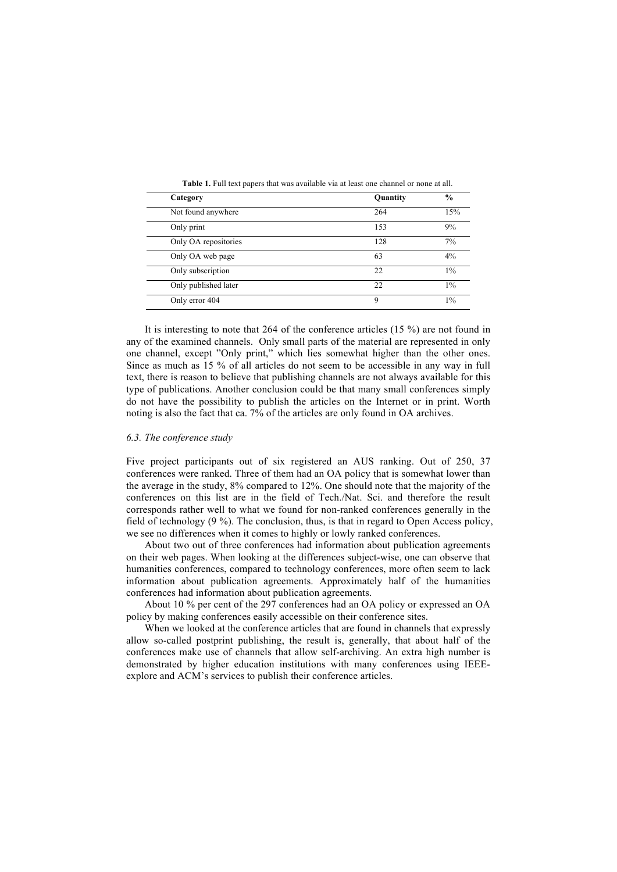| Category             | Quantity | $\frac{6}{9}$ |
|----------------------|----------|---------------|
| Not found anywhere   | 264      | 15%           |
| Only print           | 153      | 9%            |
| Only OA repositories | 128      | 7%            |
| Only OA web page     | 63       | 4%            |
| Only subscription    | 22       | 1%            |
| Only published later | 22       | 1%            |
| Only error 404       | 9        | 1%            |

**Table 1.** Full text papers that was available via at least one channel or none at all.

It is interesting to note that 264 of the conference articles (15 %) are not found in any of the examined channels. Only small parts of the material are represented in only one channel, except "Only print," which lies somewhat higher than the other ones. Since as much as 15 % of all articles do not seem to be accessible in any way in full text, there is reason to believe that publishing channels are not always available for this type of publications. Another conclusion could be that many small conferences simply do not have the possibility to publish the articles on the Internet or in print. Worth noting is also the fact that ca. 7% of the articles are only found in OA archives.

## *6.3. The conference study*

Five project participants out of six registered an AUS ranking. Out of 250, 37 conferences were ranked. Three of them had an OA policy that is somewhat lower than the average in the study, 8% compared to 12%. One should note that the majority of the conferences on this list are in the field of Tech./Nat. Sci. and therefore the result corresponds rather well to what we found for non-ranked conferences generally in the field of technology (9 %). The conclusion, thus, is that in regard to Open Access policy, we see no differences when it comes to highly or lowly ranked conferences.

About two out of three conferences had information about publication agreements on their web pages. When looking at the differences subject-wise, one can observe that humanities conferences, compared to technology conferences, more often seem to lack information about publication agreements. Approximately half of the humanities conferences had information about publication agreements.

About 10 % per cent of the 297 conferences had an OA policy or expressed an OA policy by making conferences easily accessible on their conference sites.

When we looked at the conference articles that are found in channels that expressly allow so-called postprint publishing, the result is, generally, that about half of the conferences make use of channels that allow self-archiving. An extra high number is demonstrated by higher education institutions with many conferences using IEEEexplore and ACM's services to publish their conference articles.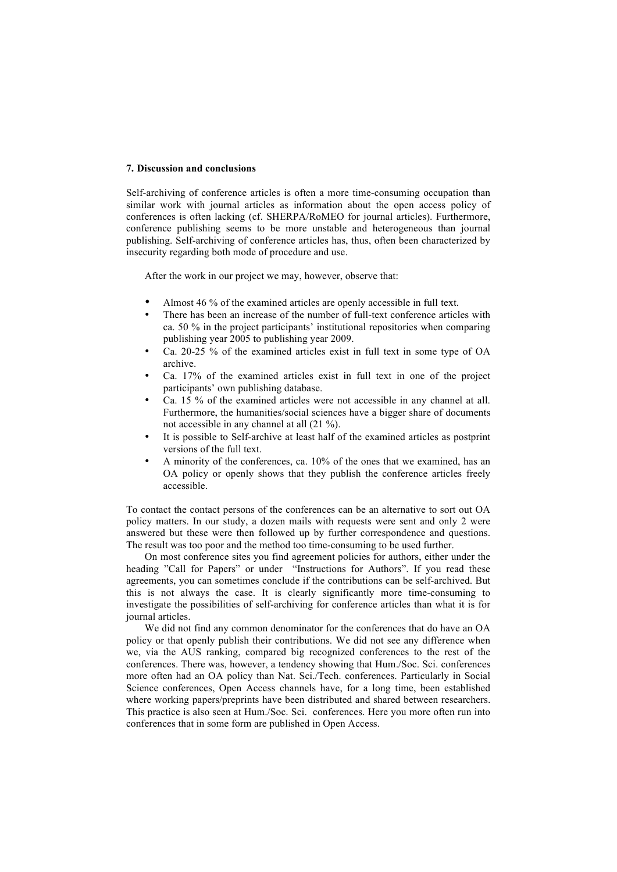#### **7. Discussion and conclusions**

Self-archiving of conference articles is often a more time-consuming occupation than similar work with journal articles as information about the open access policy of conferences is often lacking (cf. SHERPA/RoMEO for journal articles). Furthermore, conference publishing seems to be more unstable and heterogeneous than journal publishing. Self-archiving of conference articles has, thus, often been characterized by insecurity regarding both mode of procedure and use.

After the work in our project we may, however, observe that:

- Almost 46 % of the examined articles are openly accessible in full text.
- There has been an increase of the number of full-text conference articles with ca. 50 % in the project participants' institutional repositories when comparing publishing year 2005 to publishing year 2009.
- Ca. 20-25 % of the examined articles exist in full text in some type of OA archive.
- Ca. 17% of the examined articles exist in full text in one of the project participants' own publishing database.
- Ca. 15 % of the examined articles were not accessible in any channel at all. Furthermore, the humanities/social sciences have a bigger share of documents not accessible in any channel at all (21 %).
- It is possible to Self-archive at least half of the examined articles as postprint versions of the full text.
- A minority of the conferences, ca. 10% of the ones that we examined, has an OA policy or openly shows that they publish the conference articles freely accessible.

To contact the contact persons of the conferences can be an alternative to sort out OA policy matters. In our study, a dozen mails with requests were sent and only 2 were answered but these were then followed up by further correspondence and questions. The result was too poor and the method too time-consuming to be used further.

On most conference sites you find agreement policies for authors, either under the heading "Call for Papers" or under "Instructions for Authors". If you read these agreements, you can sometimes conclude if the contributions can be self-archived. But this is not always the case. It is clearly significantly more time-consuming to investigate the possibilities of self-archiving for conference articles than what it is for journal articles.

We did not find any common denominator for the conferences that do have an OA policy or that openly publish their contributions. We did not see any difference when we, via the AUS ranking, compared big recognized conferences to the rest of the conferences. There was, however, a tendency showing that Hum./Soc. Sci. conferences more often had an OA policy than Nat. Sci./Tech. conferences. Particularly in Social Science conferences, Open Access channels have, for a long time, been established where working papers/preprints have been distributed and shared between researchers. This practice is also seen at Hum./Soc. Sci. conferences. Here you more often run into conferences that in some form are published in Open Access.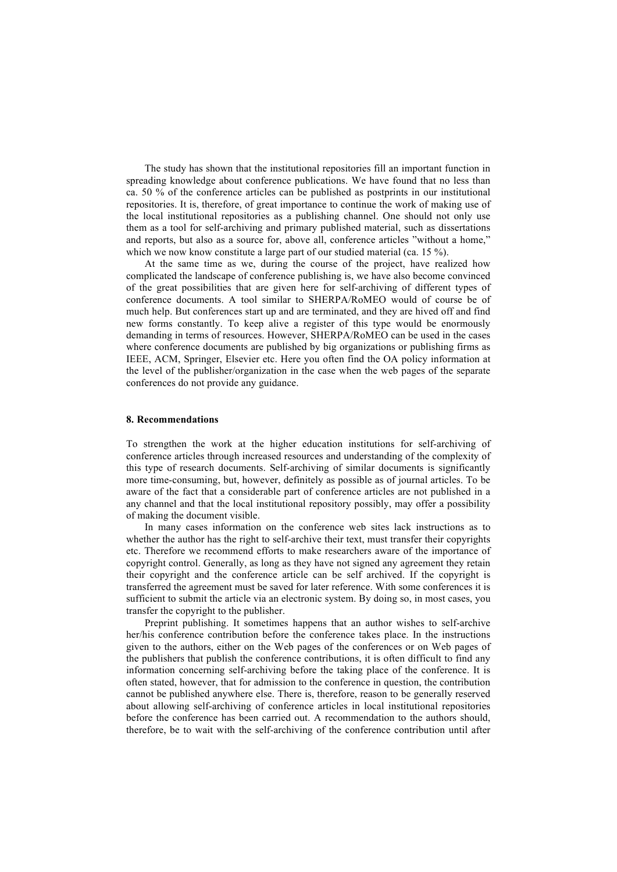The study has shown that the institutional repositories fill an important function in spreading knowledge about conference publications. We have found that no less than ca. 50 % of the conference articles can be published as postprints in our institutional repositories. It is, therefore, of great importance to continue the work of making use of the local institutional repositories as a publishing channel. One should not only use them as a tool for self-archiving and primary published material, such as dissertations and reports, but also as a source for, above all, conference articles "without a home," which we now know constitute a large part of our studied material (ca. 15 %).

At the same time as we, during the course of the project, have realized how complicated the landscape of conference publishing is, we have also become convinced of the great possibilities that are given here for self-archiving of different types of conference documents. A tool similar to SHERPA/RoMEO would of course be of much help. But conferences start up and are terminated, and they are hived off and find new forms constantly. To keep alive a register of this type would be enormously demanding in terms of resources. However, SHERPA/RoMEO can be used in the cases where conference documents are published by big organizations or publishing firms as IEEE, ACM, Springer, Elsevier etc. Here you often find the OA policy information at the level of the publisher/organization in the case when the web pages of the separate conferences do not provide any guidance.

#### **8. Recommendations**

To strengthen the work at the higher education institutions for self-archiving of conference articles through increased resources and understanding of the complexity of this type of research documents. Self-archiving of similar documents is significantly more time-consuming, but, however, definitely as possible as of journal articles. To be aware of the fact that a considerable part of conference articles are not published in a any channel and that the local institutional repository possibly, may offer a possibility of making the document visible.

In many cases information on the conference web sites lack instructions as to whether the author has the right to self-archive their text, must transfer their copyrights etc. Therefore we recommend efforts to make researchers aware of the importance of copyright control. Generally, as long as they have not signed any agreement they retain their copyright and the conference article can be self archived. If the copyright is transferred the agreement must be saved for later reference. With some conferences it is sufficient to submit the article via an electronic system. By doing so, in most cases, you transfer the copyright to the publisher.

Preprint publishing. It sometimes happens that an author wishes to self-archive her/his conference contribution before the conference takes place. In the instructions given to the authors, either on the Web pages of the conferences or on Web pages of the publishers that publish the conference contributions, it is often difficult to find any information concerning self-archiving before the taking place of the conference. It is often stated, however, that for admission to the conference in question, the contribution cannot be published anywhere else. There is, therefore, reason to be generally reserved about allowing self-archiving of conference articles in local institutional repositories before the conference has been carried out. A recommendation to the authors should, therefore, be to wait with the self-archiving of the conference contribution until after